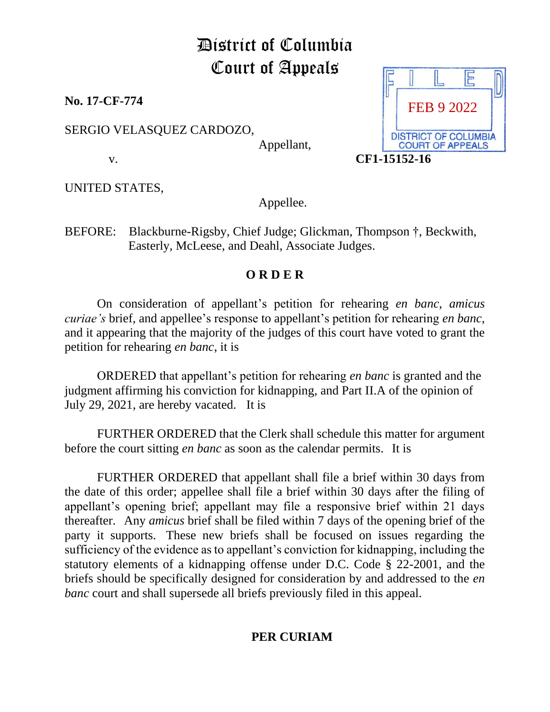## District of Columbia Court of Appeals

**No. 17-CF-774** 

SERGIO VELASQUEZ CARDOZO,

Appellant,

UNITED STATES,

Appellee.

BEFORE: Blackburne-Rigsby, Chief Judge; Glickman, Thompson †, Beckwith, Easterly, McLeese, and Deahl, Associate Judges.

## **O R D E R**

On consideration of appellant's petition for rehearing *en banc*, *amicus curiae's* brief, and appellee's response to appellant's petition for rehearing *en banc*, and it appearing that the majority of the judges of this court have voted to grant the petition for rehearing *en banc*, it is

ORDERED that appellant's petition for rehearing *en banc* is granted and the judgment affirming his conviction for kidnapping, and Part II.A of the opinion of July 29, 2021, are hereby vacated. It is

FURTHER ORDERED that the Clerk shall schedule this matter for argument before the court sitting *en banc* as soon as the calendar permits. It is

FURTHER ORDERED that appellant shall file a brief within 30 days from the date of this order; appellee shall file a brief within 30 days after the filing of appellant's opening brief; appellant may file a responsive brief within 21 days thereafter. Any *amicus* brief shall be filed within 7 days of the opening brief of the party it supports. These new briefs shall be focused on issues regarding the sufficiency of the evidence as to appellant's conviction for kidnapping, including the statutory elements of a kidnapping offense under D.C. Code § 22-2001, and the briefs should be specifically designed for consideration by and addressed to the *en banc* court and shall supersede all briefs previously filed in this appeal.

## **PER CURIAM**